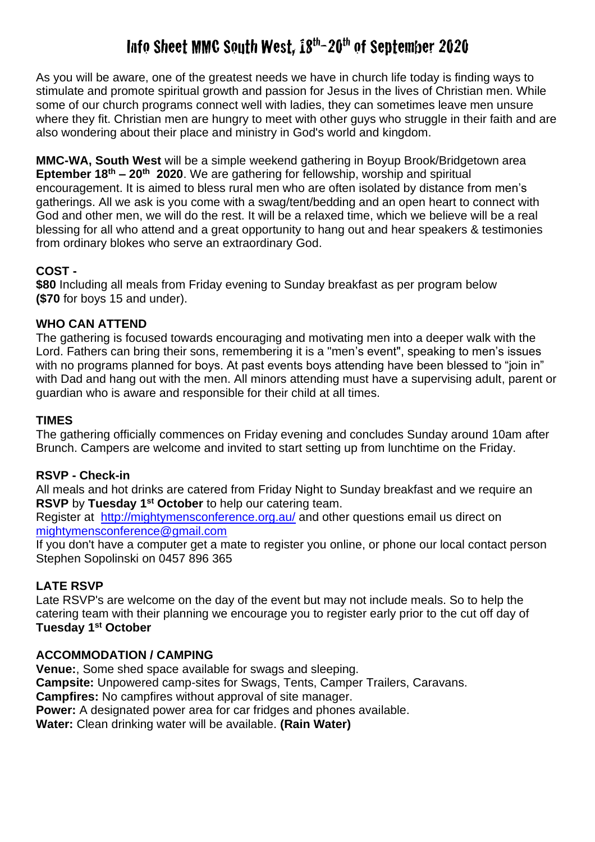# Info Sheet MMC South West, 18th-20th of September 2020

As you will be aware, one of the greatest needs we have in church life today is finding ways to stimulate and promote spiritual growth and passion for Jesus in the lives of Christian men. While some of our church programs connect well with ladies, they can sometimes leave men unsure where they fit. Christian men are hungry to meet with other guys who struggle in their faith and are also wondering about their place and ministry in God's world and kingdom.

**MMC-WA, South West** will be a simple weekend gathering in Boyup Brook/Bridgetown area **Eptember 18th – 20th 2020**. We are gathering for fellowship, worship and spiritual encouragement. It is aimed to bless rural men who are often isolated by distance from men's gatherings. All we ask is you come with a swag/tent/bedding and an open heart to connect with God and other men, we will do the rest. It will be a relaxed time, which we believe will be a real blessing for all who attend and a great opportunity to hang out and hear speakers & testimonies from ordinary blokes who serve an extraordinary God.

## **COST -**

**\$80** Including all meals from Friday evening to Sunday breakfast as per program below **(\$70** for boys 15 and under).

## **WHO CAN ATTEND**

The gathering is focused towards encouraging and motivating men into a deeper walk with the Lord. Fathers can bring their sons, remembering it is a "men's event", speaking to men's issues with no programs planned for boys. At past events boys attending have been blessed to "join in" with Dad and hang out with the men. All minors attending must have a supervising adult, parent or guardian who is aware and responsible for their child at all times.

### **TIMES**

The gathering officially commences on Friday evening and concludes Sunday around 10am after Brunch. Campers are welcome and invited to start setting up from lunchtime on the Friday.

### **RSVP - Check-in**

All meals and hot drinks are catered from Friday Night to Sunday breakfast and we require an **RSVP** by Tuesday 1<sup>st</sup> October to help our catering team.

Register at <http://mightymensconference.org.au/> and other questions email us direct on [mightymensconference@gmail.com](mailto:mightymensconference@gmail.com) 

If you don't have a computer get a mate to register you online, or phone our local contact person Stephen Sopolinski on 0457 896 365

## **LATE RSVP**

Late RSVP's are welcome on the day of the event but may not include meals. So to help the catering team with their planning we encourage you to register early prior to the cut off day of **Tuesday 1st October**

### **ACCOMMODATION / CAMPING**

**Venue:**, Some shed space available for swags and sleeping. **Campsite:** Unpowered camp-sites for Swags, Tents, Camper Trailers, Caravans.

**Campfires:** No campfires without approval of site manager.

**Power:** A designated power area for car fridges and phones available.

**Water:** Clean drinking water will be available. **(Rain Water)**